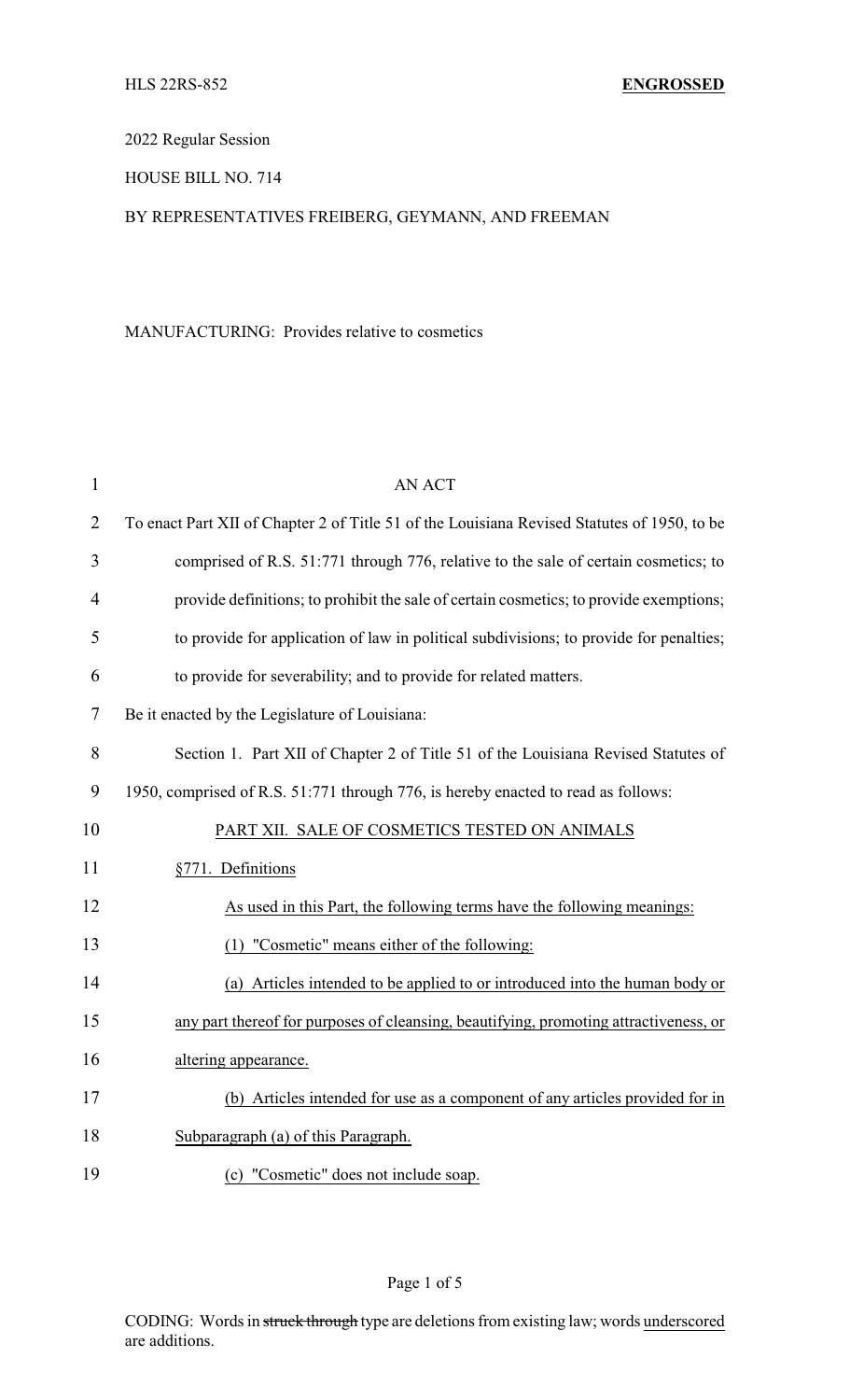2022 Regular Session

HOUSE BILL NO. 714

## BY REPRESENTATIVES FREIBERG, GEYMANN, AND FREEMAN

## MANUFACTURING: Provides relative to cosmetics

| $\mathbf{1}$   | <b>AN ACT</b>                                                                               |
|----------------|---------------------------------------------------------------------------------------------|
| $\overline{2}$ | To enact Part XII of Chapter 2 of Title 51 of the Louisiana Revised Statutes of 1950, to be |
| 3              | comprised of R.S. 51:771 through 776, relative to the sale of certain cosmetics; to         |
| $\overline{4}$ | provide definitions; to prohibit the sale of certain cosmetics; to provide exemptions;      |
| 5              | to provide for application of law in political subdivisions; to provide for penalties;      |
| 6              | to provide for severability; and to provide for related matters.                            |
| 7              | Be it enacted by the Legislature of Louisiana:                                              |
| 8              | Section 1. Part XII of Chapter 2 of Title 51 of the Louisiana Revised Statutes of           |
| 9              | 1950, comprised of R.S. 51:771 through 776, is hereby enacted to read as follows:           |
| 10             | PART XII. SALE OF COSMETICS TESTED ON ANIMALS                                               |
| 11             | §771. Definitions                                                                           |
| 12             | As used in this Part, the following terms have the following meanings:                      |
| 13             | (1) "Cosmetic" means either of the following:                                               |
| 14             | (a) Articles intended to be applied to or introduced into the human body or                 |
| 15             | any part thereof for purposes of cleansing, beautifying, promoting attractiveness, or       |
| 16             | altering appearance.                                                                        |
| 17             | (b) Articles intended for use as a component of any articles provided for in                |
| 18             | Subparagraph (a) of this Paragraph.                                                         |
| 19             | (c) "Cosmetic" does not include soap.                                                       |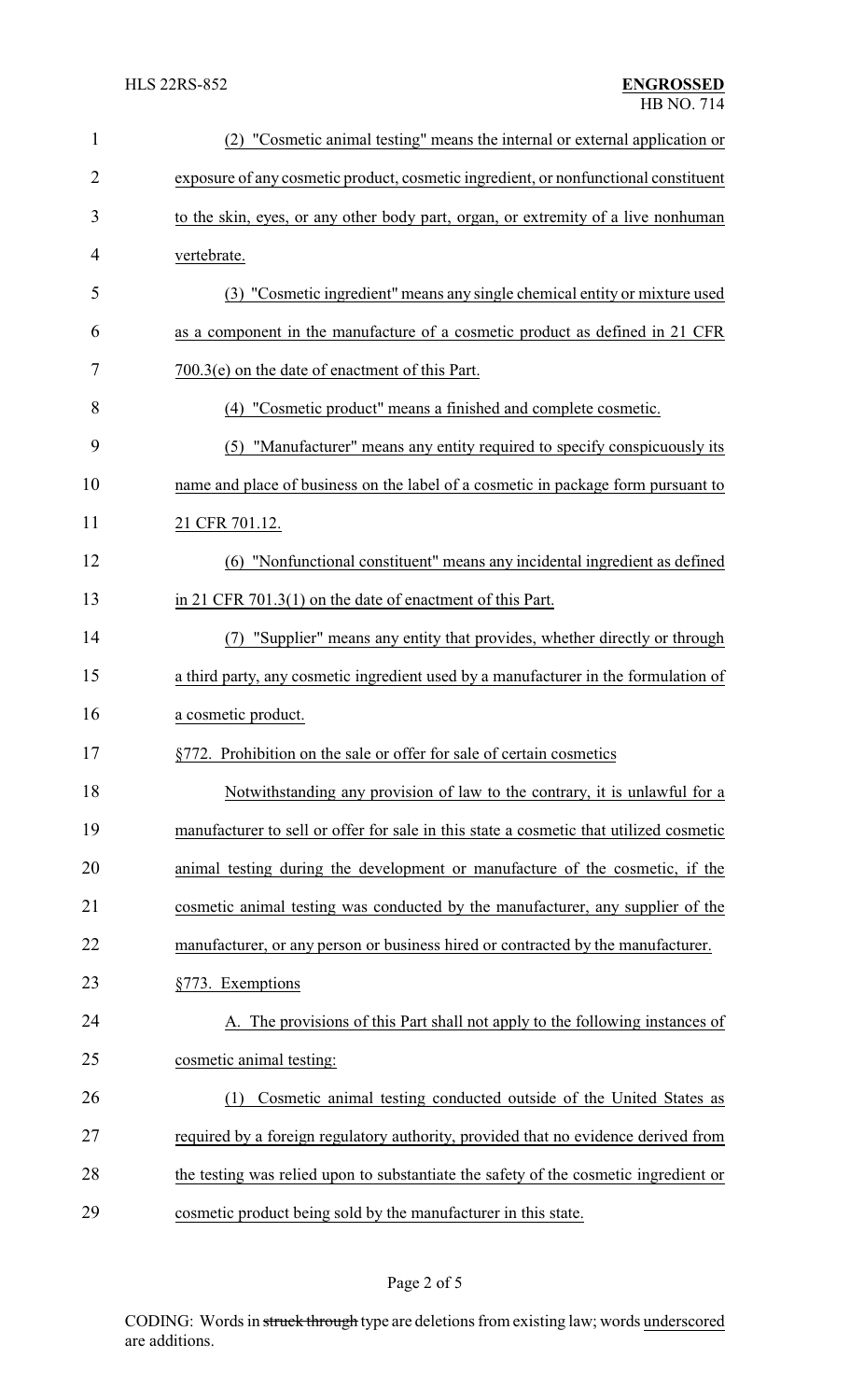| $\mathbf{1}$   | "Cosmetic animal testing" means the internal or external application or                |  |  |
|----------------|----------------------------------------------------------------------------------------|--|--|
| $\overline{2}$ | exposure of any cosmetic product, cosmetic ingredient, or nonfunctional constituent    |  |  |
| 3              | to the skin, eyes, or any other body part, organ, or extremity of a live nonhuman      |  |  |
| 4              | vertebrate.                                                                            |  |  |
| 5              | (3) "Cosmetic ingredient" means any single chemical entity or mixture used             |  |  |
| 6              | as a component in the manufacture of a cosmetic product as defined in 21 CFR           |  |  |
| 7              | $700.3(e)$ on the date of enactment of this Part.                                      |  |  |
| 8              | (4) "Cosmetic product" means a finished and complete cosmetic.                         |  |  |
| 9              | "Manufacturer" means any entity required to specify conspicuously its<br>(5)           |  |  |
| 10             | name and place of business on the label of a cosmetic in package form pursuant to      |  |  |
| 11             | 21 CFR 701.12.                                                                         |  |  |
| 12             | (6) "Nonfunctional constituent" means any incidental ingredient as defined             |  |  |
| 13             | in 21 CFR $701.3(1)$ on the date of enactment of this Part.                            |  |  |
| 14             | "Supplier" means any entity that provides, whether directly or through<br>(7)          |  |  |
| 15             | a third party, any cosmetic ingredient used by a manufacturer in the formulation of    |  |  |
| 16             | a cosmetic product.                                                                    |  |  |
| 17             | §772. Prohibition on the sale or offer for sale of certain cosmetics                   |  |  |
| 18             | Notwithstanding any provision of law to the contrary, it is unlawful for a             |  |  |
| 19             | manufacturer to sell or offer for sale in this state a cosmetic that utilized cosmetic |  |  |
| 20             | animal testing during the development or manufacture of the cosmetic, if the           |  |  |
| 21             | cosmetic animal testing was conducted by the manufacturer, any supplier of the         |  |  |
| 22             | manufacturer, or any person or business hired or contracted by the manufacturer.       |  |  |
| 23             | §773. Exemptions                                                                       |  |  |
| 24             | A. The provisions of this Part shall not apply to the following instances of           |  |  |
| 25             | cosmetic animal testing:                                                               |  |  |
| 26             | Cosmetic animal testing conducted outside of the United States as<br>(1)               |  |  |
| 27             | required by a foreign regulatory authority, provided that no evidence derived from     |  |  |
| 28             | the testing was relied upon to substantiate the safety of the cosmetic ingredient or   |  |  |
| 29             | cosmetic product being sold by the manufacturer in this state.                         |  |  |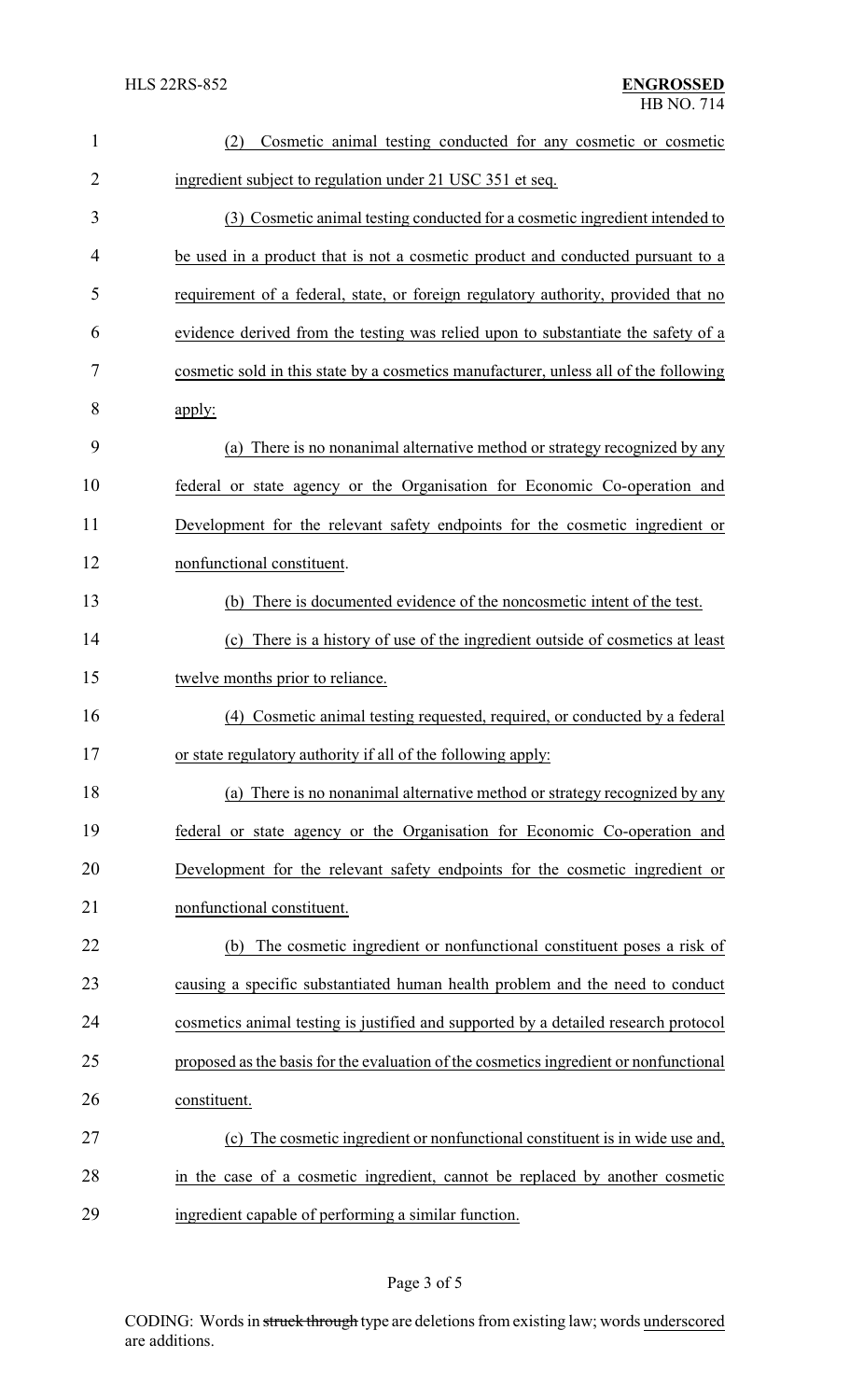| $\mathbf{1}$   | Cosmetic animal testing conducted for any cosmetic or cosmetic<br>(2)                 |
|----------------|---------------------------------------------------------------------------------------|
| $\overline{2}$ | ingredient subject to regulation under 21 USC 351 et seq.                             |
| 3              | (3) Cosmetic animal testing conducted for a cosmetic ingredient intended to           |
| 4              | be used in a product that is not a cosmetic product and conducted pursuant to a       |
| 5              | requirement of a federal, state, or foreign regulatory authority, provided that no    |
| 6              | evidence derived from the testing was relied upon to substantiate the safety of a     |
| 7              | cosmetic sold in this state by a cosmetics manufacturer, unless all of the following  |
| 8              | apply:                                                                                |
| 9              | (a) There is no nonanimal alternative method or strategy recognized by any            |
| 10             | federal or state agency or the Organisation for Economic Co-operation and             |
| 11             | Development for the relevant safety endpoints for the cosmetic ingredient or          |
| 12             | nonfunctional constituent.                                                            |
| 13             | (b) There is documented evidence of the noncosmetic intent of the test.               |
| 14             | (c) There is a history of use of the ingredient outside of cosmetics at least         |
| 15             | twelve months prior to reliance.                                                      |
| 16             | Cosmetic animal testing requested, required, or conducted by a federal<br>(4)         |
| 17             | or state regulatory authority if all of the following apply:                          |
| 18             | (a) There is no nonanimal alternative method or strategy recognized by any            |
| 19             | federal or state agency or the Organisation for Economic Co-operation and             |
| 20             | Development for the relevant safety endpoints for the cosmetic ingredient or          |
| 21             | nonfunctional constituent.                                                            |
| 22             | The cosmetic ingredient or nonfunctional constituent poses a risk of<br>(b)           |
| 23             | causing a specific substantiated human health problem and the need to conduct         |
| 24             | cosmetics animal testing is justified and supported by a detailed research protocol   |
| 25             | proposed as the basis for the evaluation of the cosmetics ingredient or nonfunctional |
| 26             | constituent.                                                                          |
| 27             | (c) The cosmetic ingredient or nonfunctional constituent is in wide use and,          |
| 28             | in the case of a cosmetic ingredient, cannot be replaced by another cosmetic          |
| 29             | ingredient capable of performing a similar function.                                  |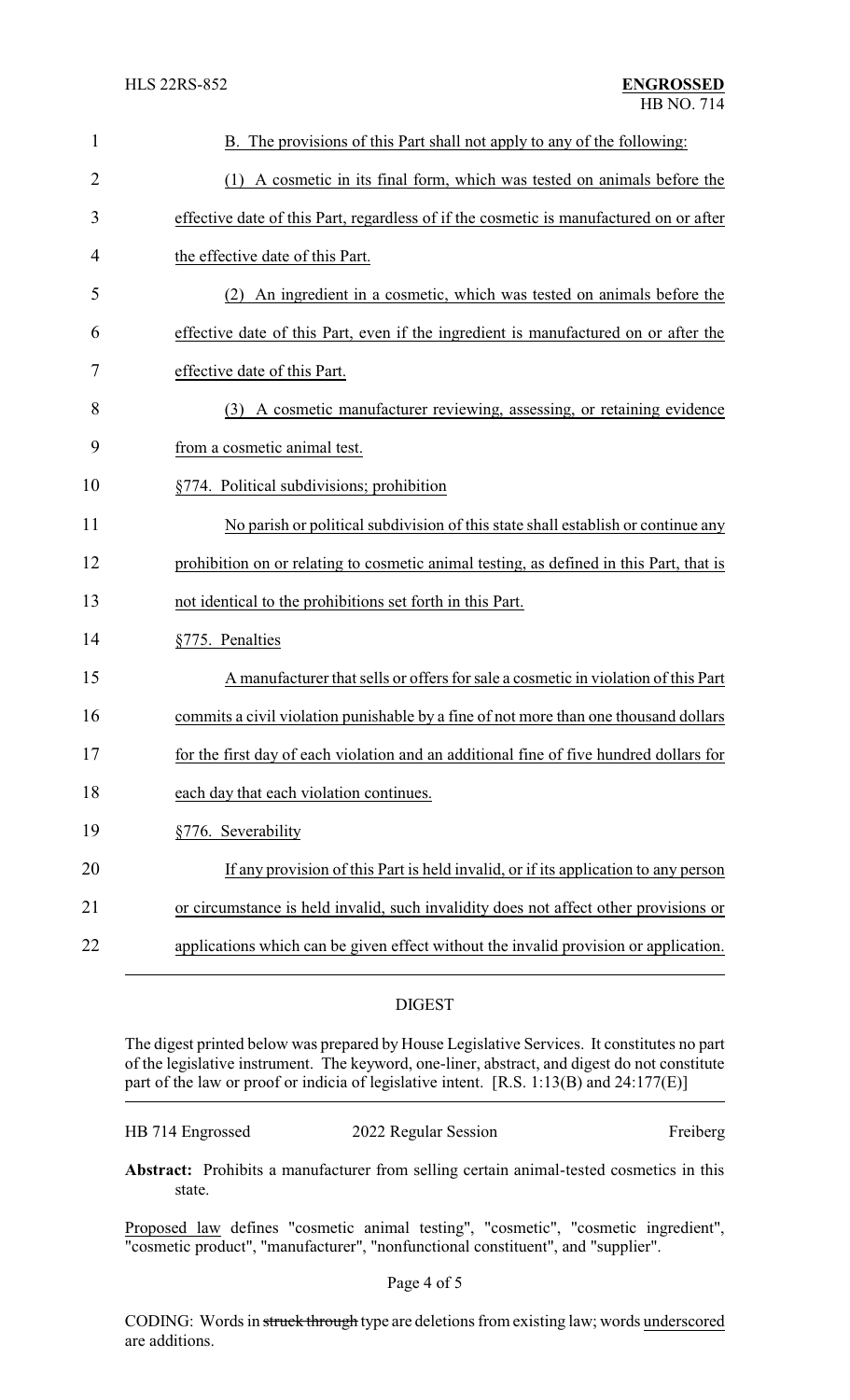| $\mathbf{1}$   | B. The provisions of this Part shall not apply to any of the following:                 |
|----------------|-----------------------------------------------------------------------------------------|
| $\overline{2}$ | (1) A cosmetic in its final form, which was tested on animals before the                |
| 3              | effective date of this Part, regardless of if the cosmetic is manufactured on or after  |
| 4              | the effective date of this Part.                                                        |
| 5              | (2) An ingredient in a cosmetic, which was tested on animals before the                 |
| 6              | effective date of this Part, even if the ingredient is manufactured on or after the     |
| 7              | effective date of this Part.                                                            |
| 8              | (3) A cosmetic manufacturer reviewing, assessing, or retaining evidence                 |
| 9              | from a cosmetic animal test.                                                            |
| 10             | §774. Political subdivisions; prohibition                                               |
| 11             | No parish or political subdivision of this state shall establish or continue any        |
| 12             | prohibition on or relating to cosmetic animal testing, as defined in this Part, that is |
| 13             | not identical to the prohibitions set forth in this Part.                               |
| 14             | §775. Penalties                                                                         |
| 15             | A manufacturer that sells or offers for sale a cosmetic in violation of this Part       |
| 16             | commits a civil violation punishable by a fine of not more than one thousand dollars    |
| 17             | for the first day of each violation and an additional fine of five hundred dollars for  |
| 18             | each day that each violation continues.                                                 |
| 19             | §776. Severability                                                                      |
| 20             | If any provision of this Part is held invalid, or if its application to any person      |
| 21             | or circumstance is held invalid, such invalidity does not affect other provisions or    |
| 22             | applications which can be given effect without the invalid provision or application.    |

## DIGEST

The digest printed below was prepared by House Legislative Services. It constitutes no part of the legislative instrument. The keyword, one-liner, abstract, and digest do not constitute part of the law or proof or indicia of legislative intent. [R.S. 1:13(B) and 24:177(E)]

| HB 714 Engrossed | 2022 Regular Session | Freiberg |
|------------------|----------------------|----------|
|------------------|----------------------|----------|

**Abstract:** Prohibits a manufacturer from selling certain animal-tested cosmetics in this state.

Proposed law defines "cosmetic animal testing", "cosmetic", "cosmetic ingredient", "cosmetic product", "manufacturer", "nonfunctional constituent", and "supplier".